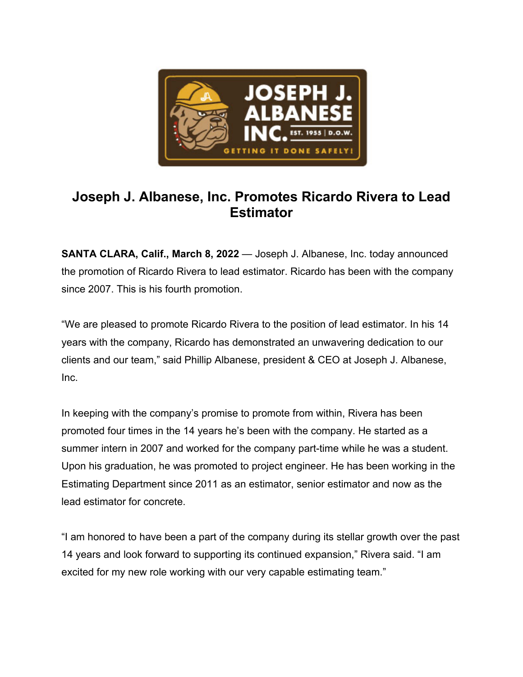

## **Joseph J. Albanese, Inc. Promotes Ricardo Rivera to Lead Estimator**

**SANTA CLARA, Calif., March 8, 2022** — Joseph J. Albanese, Inc. today announced the promotion of Ricardo Rivera to lead estimator. Ricardo has been with the company since 2007. This is his fourth promotion.

"We are pleased to promote Ricardo Rivera to the position of lead estimator. In his 14 years with the company, Ricardo has demonstrated an unwavering dedication to our clients and our team," said Phillip Albanese, president & CEO at Joseph J. Albanese, Inc.

In keeping with the company's promise to promote from within, Rivera has been promoted four times in the 14 years he's been with the company. He started as a summer intern in 2007 and worked for the company part-time while he was a student. Upon his graduation, he was promoted to project engineer. He has been working in the Estimating Department since 2011 as an estimator, senior estimator and now as the lead estimator for concrete.

"I am honored to have been a part of the company during its stellar growth over the past 14 years and look forward to supporting its continued expansion," Rivera said. "I am excited for my new role working with our very capable estimating team."